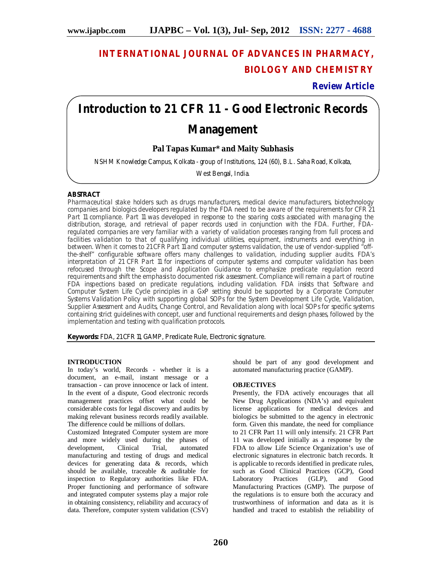# **INTERNATIONAL JOURNAL OF ADVANCES IN PHARMACY, BIOLOGY AND CHEMISTRY**

# **Review Article**

# **Introduction to 21 CFR 11 - Good Electronic Records**

# **Management**

# **Pal Tapas Kumar\* and Maity Subhasis**

NSHM Knowledge Campus, Kolkata - group of Institutions, 124 (60), B.L. Saha Road, Kolkata,

West Bengal, India.

# **ABSTRACT**

Pharmaceutical stake holders such as drugs manufacturers, medical device manufacturers, biotechnology companies and biologics developers regulated by the FDA need to be aware of the requirements for CFR 21 Part 11 compliance. Part 11 was developed in response to the soaring costs associated with managing the distribution, storage, and retrieval of paper records used in conjunction with the FDA. Further, FDAregulated companies are very familiar with a variety of validation processes ranging from full process and facilities validation to that of qualifying individual utilities, equipment, instruments and everything in between. When it comes to 21 CFR Part 11 and computer systems validation, the use of vendor-supplied "offthe-shelf" configurable software offers many challenges to validation, including supplier audits. FDA's interpretation of 21 CFR Part 11 for inspections of computer systems and computer validation has been refocused through the Scope and Application Guidance to emphasize predicate regulation record requirements and shift the emphasis to documented risk assessment. Compliance will remain a part of routine FDA inspections based on predicate regulations, including validation. FDA insists that Software and Computer System Life Cycle principles in a GxP setting should be supported by a Corporate Computer Systems Validation Policy with supporting global SOPs for the System Development Life Cycle, Validation, Supplier Assessment and Audits, Change Control, and Revalidation along with local SOPs for specific systems containing strict guidelines with concept, user and functional requirements and design phases, followed by the implementation and testing with qualification protocols.

**Keywords:** FDA, 21 CFR 11, GAMP, Predicate Rule, Electronic signature.

## **INTRODUCTION**

In today's world, Records - whether it is a document, an e-mail, instant message or a transaction - can prove innocence or lack of intent. In the event of a dispute, Good electronic records management practices offset what could be considerable costs for legal discovery and audits by making relevant business records readily available. The difference could be millions of dollars.

Customized Integrated Computer system are more and more widely used during the phases of development, Clinical Trial, automated manufacturing and testing of drugs and medical devices for generating data & records, which should be available, traceable & auditable for inspection to Regulatory authorities like FDA. Proper functioning and performance of software and integrated computer systems play a major role in obtaining consistency, reliability and accuracy of data. Therefore, computer system validation (CSV) should be part of any good development and automated manufacturing practice (GAMP).

## **OBJECTIVES**

Presently, the FDA actively encourages that all New Drug Applications (NDA's) and equivalent license applications for medical devices and biologics be submitted to the agency in electronic form. Given this mandate, the need for compliance to 21 CFR Part 11 will only intensify. 21 CFR Part 11 was developed initially as a response by the FDA to allow Life Science Organization's use of electronic signatures in electronic batch records. It is applicable to records identified in predicate rules, such as Good Clinical Practices (GCP), Good<br>Laboratory Practices (GLP), and Good Practices (GLP), and Good Manufacturing Practices (GMP). The purpose of the regulations is to ensure both the accuracy and trustworthiness of information and data as it is handled and traced to establish the reliability of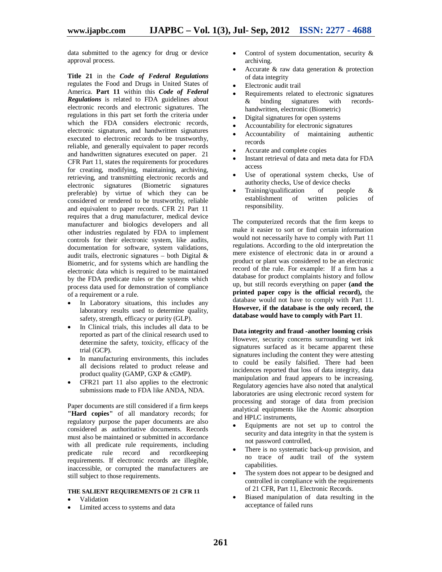data submitted to the agency for drug or device approval process.

**Title 21** in the *Code of Federal Regulations* regulates the Food and Drugs in United States of America. **Part 11** within this *Code of Federal Regulations* is related to FDA guidelines about electronic records and electronic signatures. The regulations in this part set forth the criteria under which the FDA considers electronic records, electronic signatures, and handwritten signatures executed to electronic records to be trustworthy, reliable, and generally equivalent to paper records and handwritten signatures executed on paper. 21 CFR Part 11, states the requirements for procedures for creating, modifying, maintaining, archiving, retrieving, and transmitting electronic records and electronic signatures (Biometric signatures preferable) by virtue of which they can be considered or rendered to be trustworthy, reliable and equivalent to paper records. CFR 21 Part 11 requires that a drug manufacturer, medical device manufacturer and biologics developers and all other industries regulated by FDA to implement controls for their electronic system, like audits, documentation for software, system validations, audit trails, electronic signatures – both Digital  $\&$ Biometric, and for systems which are handling the electronic data which is required to be maintained by the FDA predicate rules or the systems which process data used for demonstration of compliance of a requirement or a rule.

- In Laboratory situations, this includes any laboratory results used to determine quality, safety, strength, efficacy or purity (GLP).
- In Clinical trials, this includes all data to be reported as part of the clinical research used to determine the safety, toxicity, efficacy of the trial (GCP).
- In manufacturing environments, this includes all decisions related to product release and product quality (GAMP, GXP & cGMP).
- CFR21 part 11 also applies to the electronic submissions made to FDA like ANDA, NDA.

Paper documents are still considered if a firm keeps **"Hard copies"** of all mandatory records; for regulatory purpose the paper documents are also considered as authoritative documents. Records must also be maintained or submitted in accordance with all predicate rule requirements, including predicate rule record and recordkeeping requirements. If electronic records are illegible, inaccessible, or corrupted the manufacturers are still subject to those requirements.

#### **THE SALIENT REQUIREMENTS OF 21 CFR 11**

- Validation
- Limited access to systems and data
- Control of system documentation, security & archiving.
- Accurate & raw data generation & protection of data integrity
- Electronic audit trail
- Requirements related to electronic signatures  $\&$  binding signatures with records- $\&$  binding signatures with handwritten, electronic (Biometric)
- Digital signatures for open systems
- Accountability for electronic signatures
- Accountability of maintaining authentic records
- Accurate and complete copies
- Instant retrieval of data and meta data for FDA access
- Use of operational system checks, Use of authority checks, Use of device checks
- Training/qualification of people &<br>establishment of written policies of establishment of written policies of responsibility.

The computerized records that the firm keeps to make it easier to sort or find certain information would not necessarily have to comply with Part 11 regulations. According to the old interpretation the mere existence of electronic data in or around a product or plant was considered to be an electronic record of the rule. For example: If a firm has a database for product complaints history and follow up, but still records everything on paper **(and the printed paper copy is the official record),** the database would not have to comply with Part 11. **However, if the database is the only record, the database would have to comply with Part 11**.

**Data integrity and fraud -another looming crisis** However, security concerns surrounding wet ink signatures surfaced as it became apparent these signatures including the content they were attesting to could be easily falsified. There had been incidences reported that loss of data integrity, data manipulation and fraud appears to be increasing. Regulatory agencies have also noted that analytical laboratories are using electronic record system for processing and storage of data from precision analytical equipments like the Atomic absorption and HPLC instruments,

- Equipments are not set up to control the security and data integrity in that the system is not password controlled,
- There is no systematic back-up provision, and no trace of audit trail of the system capabilities.
- The system does not appear to be designed and controlled in compliance with the requirements of 21 CFR, Part 11, Electronic Records.
- Biased manipulation of data resulting in the acceptance of failed runs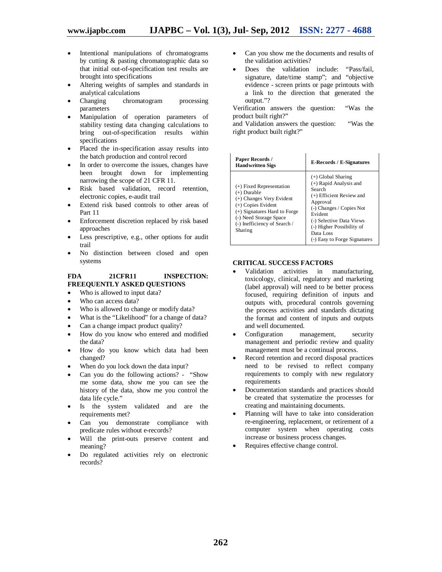- Intentional manipulations of chromatograms by cutting & pasting chromatographic data so that initial out-of-specification test results are brought into specifications
- Altering weights of samples and standards in analytical calculations<br>Changing chroma
- chromatogram processing parameters
- Manipulation of operation parameters of stability testing data changing calculations to bring out-of-specification results within specifications
- Placed the in-specification assay results into the batch production and control record
- In order to overcome the issues, changes have been brought down for implementing narrowing the scope of 21 CFR 11.
- Risk based validation, record retention, electronic copies, e-audit trail
- Extend risk based controls to other areas of Part 11
- Enforcement discretion replaced by risk based approaches
- Less prescriptive, e.g., other options for audit trail
- No distinction between closed and open systems

#### **FDA 21CFR11 INSPECTION: FREEQUENTLY ASKED QUESTIONS**

- Who is allowed to input data?
- Who can access data?
- Who is allowed to change or modify data?
- What is the "Likelihood" for a change of data?
- Can a change impact product quality?
- How do you know who entered and modified the data?
- How do you know which data had been changed?
- When do you lock down the data input?
- Can you do the following actions? "Show me some data, show me you can see the history of the data, show me you control the data life cycle."
- Is the system validated and are the requirements met?
- Can you demonstrate compliance with predicate rules without e-records?
- Will the print-outs preserve content and meaning?
- Do regulated activities rely on electronic records?
- Can you show me the documents and results of the validation activities?
- Does the validation include: "Pass/fail, signature, date/time stamp"; and "objective evidence - screen prints or page printouts with a link to the direction that generated the output."?

Verification answers the question: "Was the product built right?"

and Validation answers the question: "Was the right product built right?"

| <b>Paper Records</b> /<br><b>Hand written Sigs</b>                                                                                                                                                   | <b>E-Records / E-Signatures</b>                                                                                                                                                                                                                 |
|------------------------------------------------------------------------------------------------------------------------------------------------------------------------------------------------------|-------------------------------------------------------------------------------------------------------------------------------------------------------------------------------------------------------------------------------------------------|
| $(+)$ Fixed Representation<br>$(+)$ Durable<br>(+) Changes Very Evident<br>$(+)$ Copies Evident<br>(+) Signatures Hard to Forge<br>(-) Need Storage Space<br>(-) Inefficiency of Search /<br>Sharing | $(+)$ Global Sharing<br>$(+)$ Rapid Analysis and<br>Search<br>(+) Efficient Review and<br>Approval<br>(-) Changes / Copies Not<br>Evident<br>(-) Selective Data Views<br>(-) Higher Possibility of<br>Data Loss<br>(-) Easy to Forge Signatures |

#### **CRITICAL SUCCESS FACTORS**

- Validation activities in manufacturing, toxicology, clinical, regulatory and marketing (label approval) will need to be better process focused, requiring definition of inputs and outputs with, procedural controls governing the process activities and standards dictating the format and content of inputs and outputs and well documented.
- Configuration management, security management and periodic review and quality management must be a continual process.
- Record retention and record disposal practices need to be revised to reflect company requirements to comply with new regulatory requirements
- Documentation standards and practices should be created that systematize the processes for creating and maintaining documents.
- Planning will have to take into consideration re-engineering, replacement, or retirement of a computer system when operating costs increase or business process changes.
- Requires effective change control.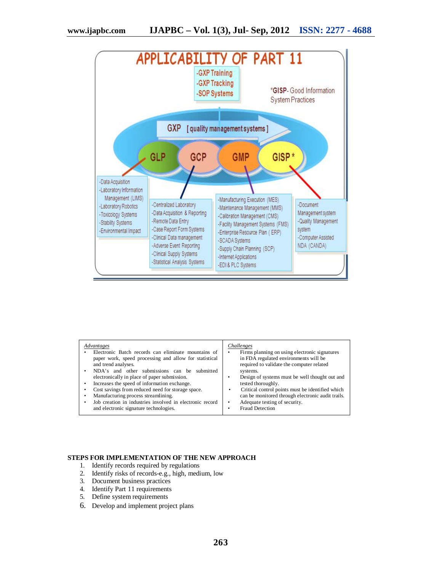

#### **STEPS FOR IMPLEMENTATION OF THE NEW APPROACH**

- 1. Identify records required by regulations
- 2. Identify risks of records-e.g., high, medium, low
- 3. Document business practices
- 4. Identify Part 11 requirements
- 5. Define system requirements
- 6. Develop and implement project plans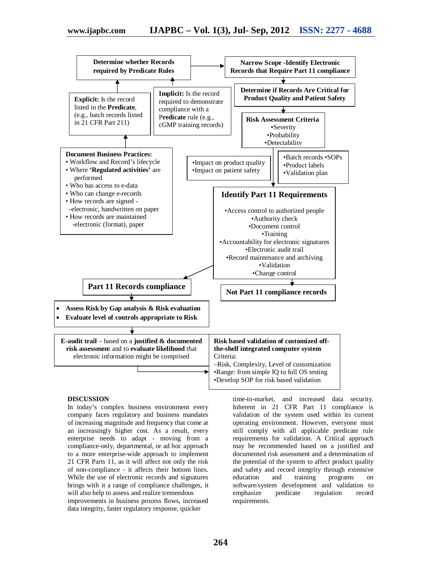

#### **DISCUSSION**

In today's complex business environment every company faces regulatory and business mandates of increasing magnitude and frequency that come at an increasingly higher cost. As a result, every enterprise needs to adapt - moving from a compliance-only, departmental, or ad hoc approach to a more enterprise-wide approach to implement 21 CFR Parts 11, as it will affect not only the risk of non-compliance - it affects their bottom lines. While the use of electronic records and signatures brings with it a range of compliance challenges, it will also help to assess and realize tremendous improvements in business process flows, increased data integrity, faster regulatory response, quicker

time-to-market, and increased data security. Inherent in 21 CFR Part 11 compliance is validation of the system used within its current operating environment. However, everyone must still comply with all applicable predicate rule requirements for validation. A Critical approach may be recommended based on a justified and documented risk assessment and a determination of the potential of the system to affect product quality and safety and record integrity through extensive<br>education and training programs on programs on software/system development and validation to emphasize predicate regulation record requirements.